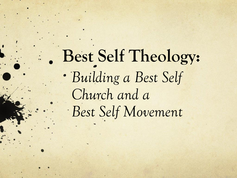# **Best Self Theology:** *Building a Best Self Church and a Best Self Movement*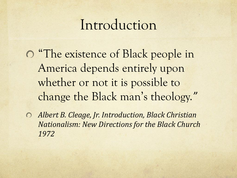#### Introduction

"The existence of Black people in America depends entirely upon whether or not it is possible to change the Black man's theology.*"* 

*Albert B. Cleage, Jr. Introduction, Black Christian*   $\circ$ *Nationalism: New Directions for the Black Church 1972*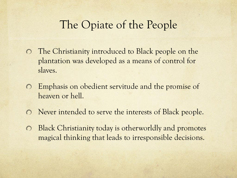#### The Opiate of the People

- The Christianity introduced to Black people on the  $\circ$ plantation was developed as a means of control for slaves.
- Emphasis on obedient servitude and the promise of  $\bigcirc$ heaven or hell.
- Never intended to serve the interests of Black people.  $\bigcirc$
- Black Christianity today is otherworldly and promotes  $\bigcirc$ magical thinking that leads to irresponsible decisions.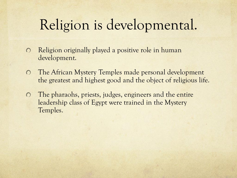#### Religion is developmental.

- Religion originally played a positive role in human  $\bigcirc$ development.
- The African Mystery Temples made personal development  $\Omega$ the greatest and highest good and the object of religious life.
- The pharaohs, priests, judges, engineers and the entire  $\Omega$ leadership class of Egypt were trained in the Mystery Temples.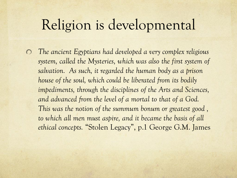#### Religion is developmental

*The ancient Egyptians had developed a very complex religious*   $\Omega$ *system, called the Mysteries, which was also the first system of salvation. As such, it regarded the human body as a prison house of the soul, which could be liberated from its bodily impediments, through the disciplines of the Arts and Sciences, and advanced from the level of a mortal to that of a God. This was the notion of the summum bonum or greatest good ,*  to which all men must aspire, and it became the basis of all *ethical concepts.* "Stolen Legacy", p.1 George G.M. James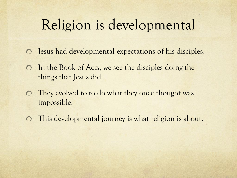#### Religion is developmental

- Jesus had developmental expectations of his disciples.  $\circ$
- In the Book of Acts, we see the disciples doing the  $\bigcirc$ things that Jesus did.
- They evolved to to do what they once thought was  $\bigcirc$ impossible.
- This developmental journey is what religion is about. $\bigcirc$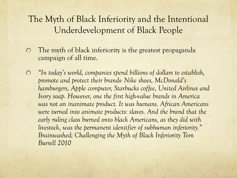#### The Myth of Black Inferiority and the Intentional Underdevelopment of Black People

- The myth of black inferiority is the greatest propaganda  $\Omega$ campaign of all time.
- *"In today's world, companies spend billions of dollars to establish,*   $\bigcirc$ *promote and protect their brands- Nike shoes, McDonald's hamburgers, Apple computer, Starbucks coffee, United Airlines and Ivory soap. However, one the first high-value brands in America was not an inanimate product. It was humans. African Americans*  were turned into animate products: slaves. And the brand that the *early ruling class burned onto black Americans, as they did with livestock, was the permanent identifier of subhuman inferiority." Brainwashed; Challenging the Myth of Black Inferiority Tom Burrell 2010*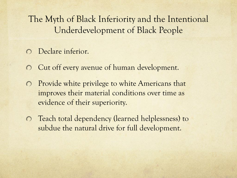The Myth of Black Inferiority and the Intentional Underdevelopment of Black People

- Declare inferior.
- Cut off every avenue of human development.
- Provide white privilege to white Americans that  $\bigcirc$ improves their material conditions over time as evidence of their superiority.
- Teach total dependency (learned helplessness) to subdue the natural drive for full development.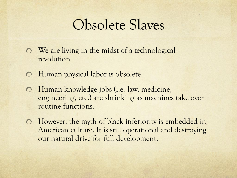#### Obsolete Slaves

- We are living in the midst of a technological revolution.
- Human physical labor is obsolete.  $\circ$
- Human knowledge jobs (i.e. law, medicine,  $\circ$ engineering, etc.) are shrinking as machines take over routine functions.
- However, the myth of black inferiority is embedded in American culture. It is still operational and destroying our natural drive for full development.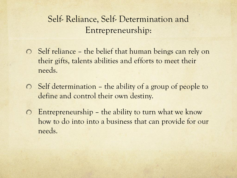#### Self- Reliance, Self- Determination and Entrepreneurship:

- Self reliance the belief that human beings can rely on their gifts, talents abilities and efforts to meet their needs.
- Self determination the ability of a group of people to  $\circ$ define and control their own destiny.
- Entrepreneurship the ability to turn what we know  $\circ$ how to do into into a business that can provide for our needs.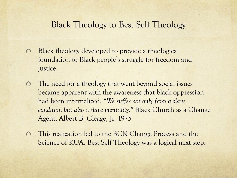#### Black Theology to Best Self Theology

- Black theology developed to provide a theological  $\Omega$ foundation to Black people's struggle for freedom and justice.
- The need for a theology that went beyond social issues  $\bigcirc$ became apparent with the awareness that black oppression had been internalized. *"We suffer not only from a slave condition but also a slave mentality."* Black Church as a Change Agent, Albert B. Cleage, Jr. 1975
- This realization led to the BCN Change Process and the  $\bigcirc$ Science of KUA. Best Self Theology was a logical next step.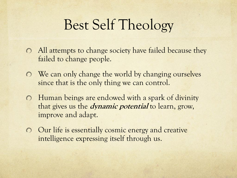- All attempts to change society have failed because they failed to change people.
- **O** We can only change the world by changing ourselves since that is the only thing we can control.
- Human beings are endowed with a spark of divinity that gives us the **dynamic potential** to learn, grow, improve and adapt.
- Our life is essentially cosmic energy and creative intelligence expressing itself through us.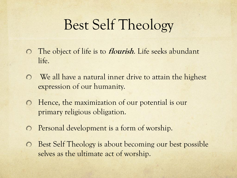- The object of life is to **flourish**. Life seeks abundant  $\overline{O}$ life.
- We all have a natural inner drive to attain the highest  $\bigcap$ expression of our humanity.
- Hence, the maximization of our potential is our  $\bigcirc$ primary religious obligation.
- Personal development is a form of worship.  $\bigcirc$
- Best Self Theology is about becoming our best possible  $\bigcirc$ selves as the ultimate act of worship.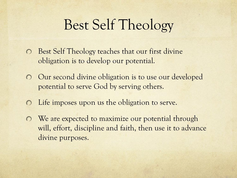- Best Self Theology teaches that our first divine  $\circ$ obligation is to develop our potential.
- Our second divine obligation is to use our developed  $\bigcap$ potential to serve God by serving others.
- Life imposes upon us the obligation to serve.  $\bigcirc$
- We are expected to maximize our potential through  $\circ$ will, effort, discipline and faith, then use it to advance divine purposes.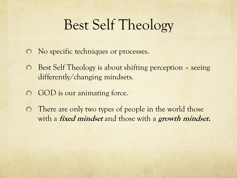- No specific techniques or processes.
- Best Self Theology is about shifting perception seeing differently/changing mindsets.
- GOD is our animating force.  $\bigcirc$
- There are only two types of people in the world those  $\bigcirc$ with a **fixed mindset** and those with a **growth mindset.**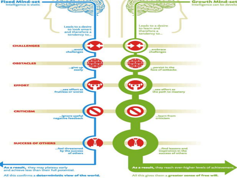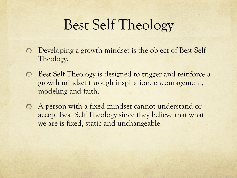- Developing a growth mindset is the object of Best Self  $\bigcirc$ Theology.
- Best Self Theology is designed to trigger and reinforce a  $\overline{O}$ growth mindset through inspiration, encouragement, modeling and faith.
- A person with a fixed mindset cannot understand or  $\circ$ accept Best Self Theology since they believe that what we are is fixed, static and unchangeable.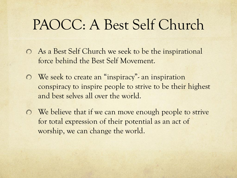#### PAOCC: A Best Self Church

- As a Best Self Church we seek to be the inspirational force behind the Best Self Movement.
- We seek to create an "inspiracy"- an inspiration conspiracy to inspire people to strive to be their highest and best selves all over the world.
- **O** We believe that if we can move enough people to strive for total expression of their potential as an act of worship, we can change the world.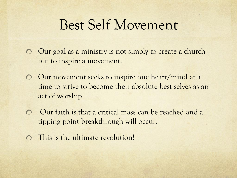#### Best Self Movement

- Our goal as a ministry is not simply to create a church  $\bigcirc$ but to inspire a movement.
- Our movement seeks to inspire one heart/mind at a  $\bigcap$ time to strive to become their absolute best selves as an act of worship.
- Our faith is that a critical mass can be reached and a  $\bigcap$ tipping point breakthrough will occur.
- This is the ultimate revolution!  $\bigcap$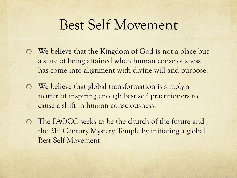#### Best Self Movement

- We believe that the Kingdom of God is not a place but a state of being attained when human consciousness has come into alignment with divine will and purpose.
- We believe that global transformation is simply a  $\overline{O}$ matter of inspiring enough best self practitioners to cause a shift in human consciousness.
- The PAOCC seeks to be the church of the future and the 21st Century Mystery Temple by initiating a global Best Self Movement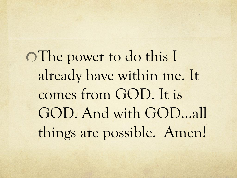The power to do this I already have within me. It comes from GOD. It is GOD. And with GOD…all things are possible. Amen!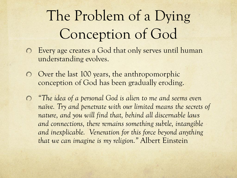# The Problem of a Dying Conception of God

- Every age creates a God that only serves until human  $\circ$ understanding evolves.
- Over the last 100 years, the anthropomorphic  $\overline{O}$ conception of God has been gradually eroding.
- *"The idea of a personal God is alien to me and seems even*  naïve. Try and penetrate with our limited means the secrets of *nature, and you will find that, behind all discernable laws and connections, there remains something subtle, intangible and inexplicable. Veneration for this force beyond anything that we can imagine is my religion."* Albert Einstein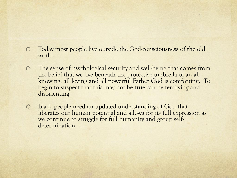- Today most people live outside the God-consciousness of the old  $\bigcirc$ world.
- The sense of psychological security and well-being that comes from  $\bigcap$ the belief that we live beneath the protective umbrella of an all knowing, all loving and all powerful Father God is comforting. To begin to suspect that this may not be true can be terrifying and disorienting.
- Black people need an updated understanding of God that  $\circ$ liberates our human potential and allows for its full expression as we continue to struggle for full humanity and group selfdetermination.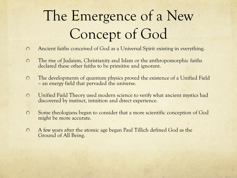# The Emergence of a New Concept of God

- Ancient faiths conceived of God as a Universal Spirit existing in everything.  $\Omega$
- $\circ$ The rise of Judaism, Christianity and Islam or the anthropomorphic faiths declared these other faiths to be primitive and ignorant.
- The developments of quantum physics proved the existence of a Unified Field  $\circ$ – an energy field that pervaded the universe.
- Unified Field Theory used modern science to verify what ancient mystics had  $\Omega$ discovered by instinct, intuition and direct experience.
- $\circ$ Some theologians began to consider that a more scientific conception of God might be more accurate.
- A few years after the atomic age began Paul Tillich defined God as the  $\circ$ Ground of All Being.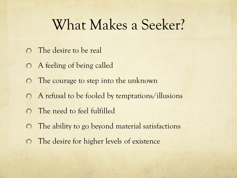#### What Makes a Seeker?

- The desire to be real
- A feeling of being called
- The courage to step into the unknown  $\bigcirc$
- A refusal to be fooled by temptations/illusions
- The need to feel fulfilled  $\bigcirc$
- The ability to go beyond material satisfactions  $\bigcirc$
- The desire for higher levels of existence $\bigcirc$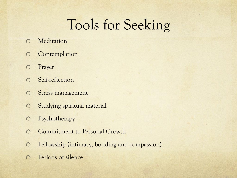### Tools for Seeking

- Meditation  $\Omega$
- Contemplation  $\bigcirc$
- Prayer  $\Omega$
- Self-reflection  $\bigcap$
- Stress management  $\Omega$
- Studying spiritual material  $\Omega$
- Psychotherapy  $\Omega$
- Commitment to Personal Growth  $\bigcap$
- Fellowship (intimacy, bonding and compassion)  $\bigcap$
- Periods of silence $\bigcirc$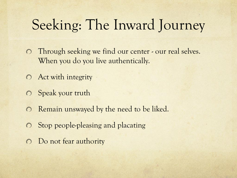### Seeking: The Inward Journey

- Through seeking we find our center our real selves.  $\overline{O}$ When you do you live authentically.
- **O** Act with integrity
- Speak your truth  $\bigcirc$
- Remain unswayed by the need to be liked.  $\bigcirc$
- Stop people-pleasing and placating  $\circ$
- Do not fear authority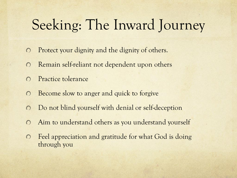## Seeking: The Inward Journey

- Protect your dignity and the dignity of others.  $\Omega$
- Remain self-reliant not dependent upon others  $\Omega$
- Practice tolerance  $\bigcirc$
- Become slow to anger and quick to forgive  $\bigcirc$
- Do not blind yourself with denial or self-deception  $\bigcirc$
- Aim to understand others as you understand yourself  $\bigcirc$
- Feel appreciation and gratitude for what God is doing  $\bigcirc$ through you